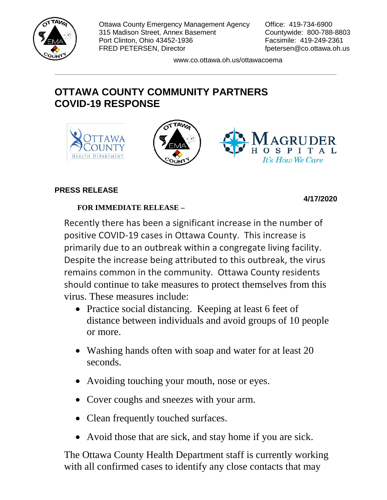

Ottawa County Emergency Management Agency Office: 419-734-6900 315 Madison Street, Annex Basement Countywide: 800-788-8803 Port Clinton, Ohio 43452-1936 Facsimile: 419-249-2361 FRED PETERSEN, Director fpetersen@co.ottawa.oh.us

www.co.ottawa.oh.us/ottawacoema

## **OTTAWA COUNTY COMMUNITY PARTNERS COVID-19 RESPONSE**



## **PRESS RELEASE**

## **4/17/2020**

## **FOR IMMEDIATE RELEASE –**

Recently there has been a significant increase in the number of positive COVID-19 cases in Ottawa County. This increase is primarily due to an outbreak within a congregate living facility. Despite the increase being attributed to this outbreak, the virus remains common in the community. Ottawa County residents should continue to take measures to protect themselves from this virus. These measures include:

- Practice social distancing. Keeping at least 6 feet of distance between individuals and avoid groups of 10 people or more.
- Washing hands often with soap and water for at least 20 seconds.
- Avoiding touching your mouth, nose or eyes.
- Cover coughs and sneezes with your arm.
- Clean frequently touched surfaces.
- Avoid those that are sick, and stay home if you are sick.

The Ottawa County Health Department staff is currently working with all confirmed cases to identify any close contacts that may